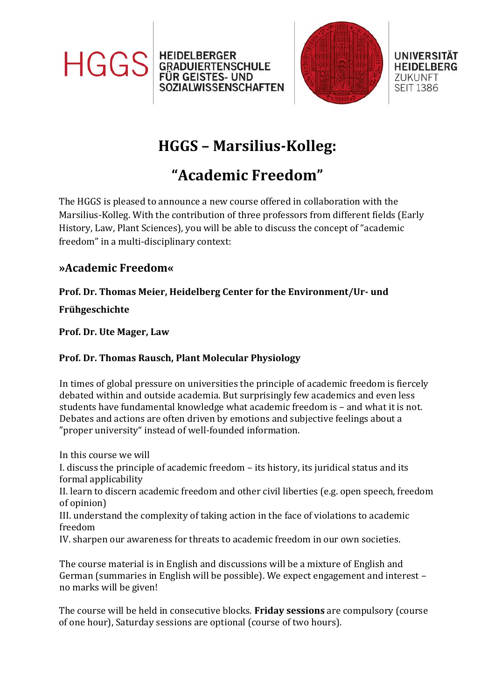





**UNIVERSITÄT HEIDELBERG ZUKUNFT SEIT 1386** 

# **HGGS – Marsilius-Kolleg:**

## **"Academic Freedom"**

The HGGS is pleased to announce a new course offered in collaboration with the Marsilius-Kolleg. With the contribution of three professors from different fields (Early History, Law, Plant Sciences), you will be able to discuss the concept of "academic freedom" in a multi-disciplinary context:

### **»Academic Freedom«**

#### **Prof. Dr. Thomas Meier, Heidelberg Center for the Environment/Ur- und**

**Frühgeschichte**

**Prof. Dr. Ute Mager, Law**

#### **Prof. Dr. Thomas Rausch, Plant Molecular Physiology**

In times of global pressure on universities the principle of academic freedom is fiercely debated within and outside academia. But surprisingly few academics and even less students have fundamental knowledge what academic freedom is – and what it is not. Debates and actions are often driven by emotions and subjective feelings about a "proper university" instead of well-founded information.

In this course we will

I. discuss the principle of academic freedom – its history, its juridical status and its formal applicability

II. learn to discern academic freedom and other civil liberties (e.g. open speech, freedom of opinion)

III. understand the complexity of taking action in the face of violations to academic freedom

IV. sharpen our awareness for threats to academic freedom in our own societies.

The course material is in English and discussions will be a mixture of English and German (summaries in English will be possible). We expect engagement and interest – no marks will be given!

The course will be held in consecutive blocks. **Friday sessions** are compulsory (course of one hour), Saturday sessions are optional (course of two hours).